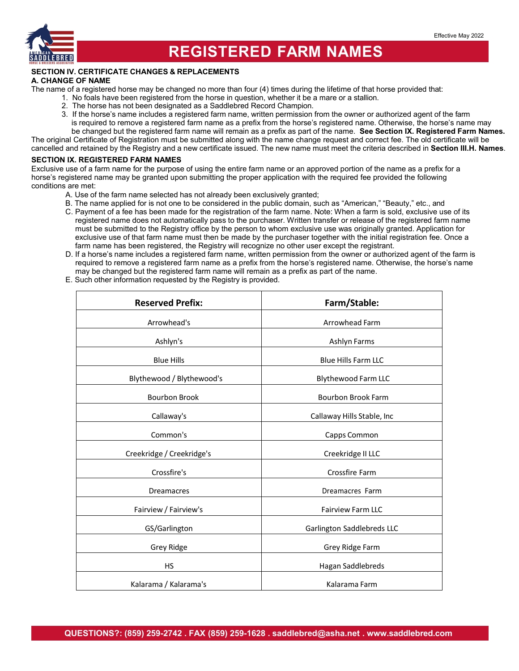

### **REGISTERED FARM NAMES**

### **SECTION IV. CERTIFICATE CHANGES & REPLACEMENTS**

#### **A. CHANGE OF NAME**

The name of a registered horse may be changed no more than four (4) times during the lifetime of that horse provided that:

- 1. No foals have been registered from the horse in question, whether it be a mare or a stallion.
- 2. The horse has not been designated as a Saddlebred Record Champion.
- 3. If the horse's name includes a registered farm name, written permission from the owner or authorized agent of the farm is required to remove a registered farm name as a prefix from the horse's registered name. Otherwise, the horse's name may be changed but the registered farm name will remain as a prefix as part of the name. **See Section IX. Registered Farm Names.**

The original Certificate of Registration must be submitted along with the name change request and correct fee. The old certificate will be

cancelled and retained by the Registry and a new certificate issued. The new name must meet the criteria described in **Section III.H. Names**.

#### **SECTION IX. REGISTERED FARM NAMES**

Exclusive use of a farm name for the purpose of using the entire farm name or an approved portion of the name as a prefix for a horse's registered name may be granted upon submitting the proper application with the required fee provided the following conditions are met:

- A. Use of the farm name selected has not already been exclusively granted;
- B. The name applied for is not one to be considered in the public domain, such as "American," "Beauty," etc., and
- C. Payment of a fee has been made for the registration of the farm name. Note: When a farm is sold, exclusive use of its registered name does not automatically pass to the purchaser. Written transfer or release of the registered farm name must be submitted to the Registry office by the person to whom exclusive use was originally granted. Application for exclusive use of that farm name must then be made by the purchaser together with the initial registration fee. Once a farm name has been registered, the Registry will recognize no other user except the registrant.
- D. If a horse's name includes a registered farm name, written permission from the owner or authorized agent of the farm is required to remove a registered farm name as a prefix from the horse's registered name. Otherwise, the horse's name may be changed but the registered farm name will remain as a prefix as part of the name.
- E. Such other information requested by the Registry is provided.

| <b>Reserved Prefix:</b>   | Farm/Stable:               |
|---------------------------|----------------------------|
| Arrowhead's               | Arrowhead Farm             |
| Ashlyn's                  | Ashlyn Farms               |
| <b>Blue Hills</b>         | <b>Blue Hills Farm LLC</b> |
| Blythewood / Blythewood's | Blythewood Farm LLC        |
| <b>Bourbon Brook</b>      | <b>Bourbon Brook Farm</b>  |
| Callaway's                | Callaway Hills Stable, Inc |
| Common's                  | Capps Common               |
| Creekridge / Creekridge's | Creekridge II LLC          |
| Crossfire's               | Crossfire Farm             |
| <b>Dreamacres</b>         | Dreamacres Farm            |
| Fairview / Fairview's     | <b>Fairview Farm LLC</b>   |
| GS/Garlington             | Garlington Saddlebreds LLC |
| Grey Ridge                | Grey Ridge Farm            |
| <b>HS</b>                 | Hagan Saddlebreds          |
| Kalarama / Kalarama's     | Kalarama Farm              |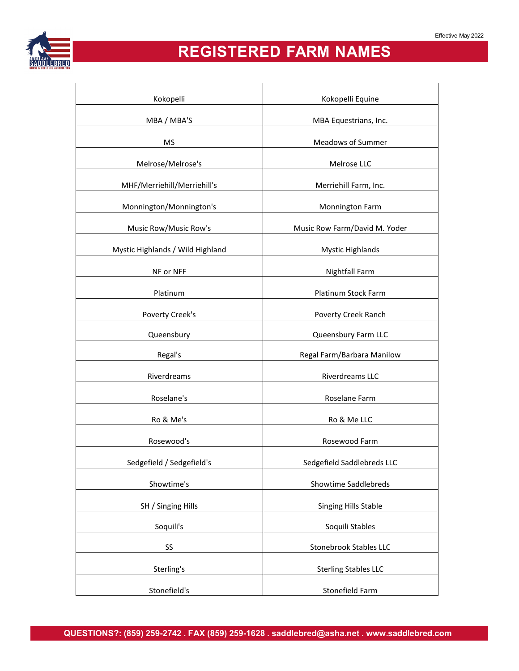

# **REGISTERED FARM NAMES**

| Kokopelli                        | Kokopelli Equine              |
|----------------------------------|-------------------------------|
| MBA / MBA'S                      | MBA Equestrians, Inc.         |
| <b>MS</b>                        | <b>Meadows of Summer</b>      |
|                                  |                               |
| Melrose/Melrose's                | Melrose LLC                   |
| MHF/Merriehill/Merriehill's      | Merriehill Farm, Inc.         |
| Monnington/Monnington's          | Monnington Farm               |
| Music Row/Music Row's            | Music Row Farm/David M. Yoder |
| Mystic Highlands / Wild Highland | <b>Mystic Highlands</b>       |
| NF or NFF                        | Nightfall Farm                |
| Platinum                         | Platinum Stock Farm           |
| Poverty Creek's                  | Poverty Creek Ranch           |
| Queensbury                       | Queensbury Farm LLC           |
| Regal's                          | Regal Farm/Barbara Manilow    |
| Riverdreams                      | Riverdreams LLC               |
| Roselane's                       | Roselane Farm                 |
| Ro & Me's                        | Ro & Me LLC                   |
| Rosewood's                       | Rosewood Farm                 |
| Sedgefield / Sedgefield's        | Sedgefield Saddlebreds LLC    |
| Showtime's                       | Showtime Saddlebreds          |
| SH / Singing Hills               | Singing Hills Stable          |
| Soquili's                        | Soquili Stables               |
| SS                               | <b>Stonebrook Stables LLC</b> |
| Sterling's                       | <b>Sterling Stables LLC</b>   |
| Stonefield's                     | Stonefield Farm               |